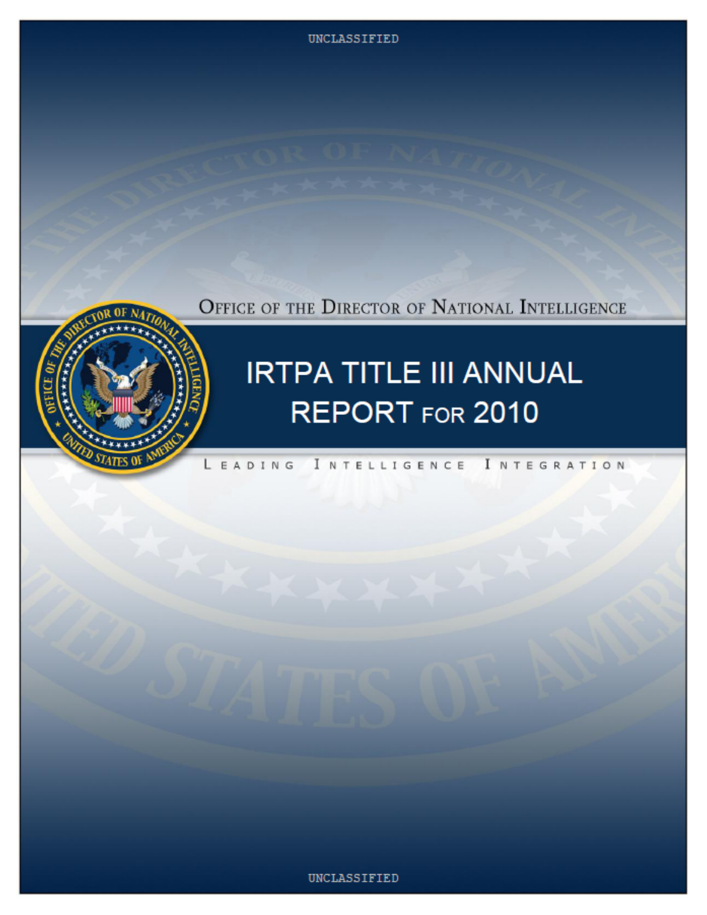OFFICE OF THE DIRECTOR OF NATIONAL INTELLIGENCE



# **IRTPA TITLE III ANNUAL** REPORT FOR 2010

#### LEADING INTELLIGENCE INTEGRATION

#### UNCLASSIFIED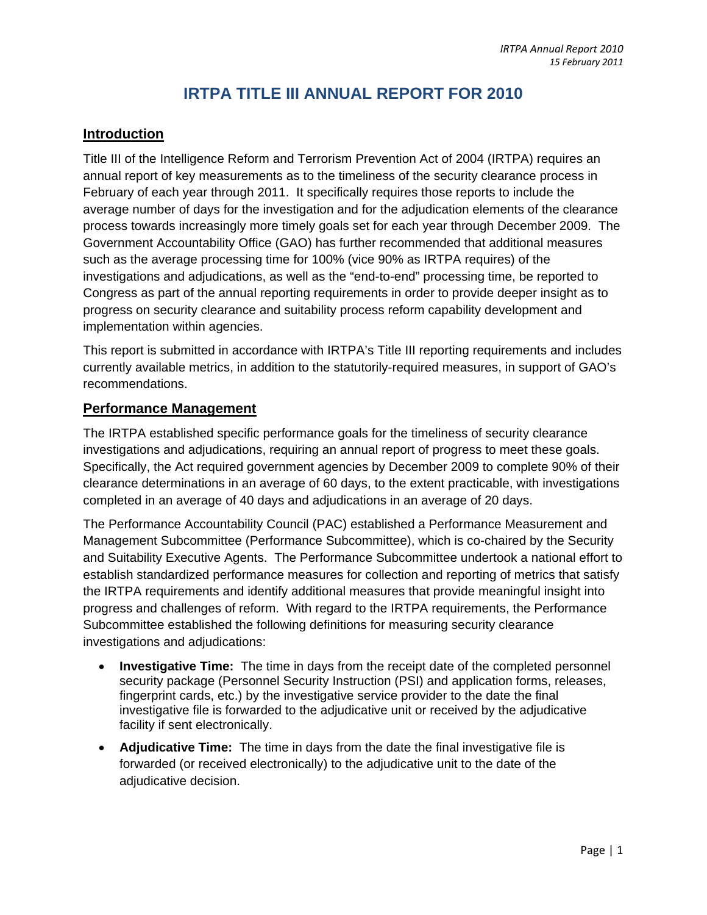### **IRTPA TITLE III ANNUAL REPORT FOR 2010**

#### **Introduction**

Title III of the Intelligence Reform and Terrorism Prevention Act of 2004 (IRTPA) requires an annual report of key measurements as to the timeliness of the security clearance process in February of each year through 2011. It specifically requires those reports to include the average number of days for the investigation and for the adjudication elements of the clearance process towards increasingly more timely goals set for each year through December 2009. The Government Accountability Office (GAO) has further recommended that additional measures such as the average processing time for 100% (vice 90% as IRTPA requires) of the investigations and adjudications, as well as the "end-to-end" processing time, be reported to Congress as part of the annual reporting requirements in order to provide deeper insight as to progress on security clearance and suitability process reform capability development and implementation within agencies.

This report is submitted in accordance with IRTPA's Title III reporting requirements and includes currently available metrics, in addition to the statutorily-required measures, in support of GAO's recommendations.

#### **Performance Management**

The IRTPA established specific performance goals for the timeliness of security clearance investigations and adjudications, requiring an annual report of progress to meet these goals. Specifically, the Act required government agencies by December 2009 to complete 90% of their clearance determinations in an average of 60 days, to the extent practicable, with investigations completed in an average of 40 days and adjudications in an average of 20 days.

The Performance Accountability Council (PAC) established a Performance Measurement and Management Subcommittee (Performance Subcommittee), which is co-chaired by the Security and Suitability Executive Agents. The Performance Subcommittee undertook a national effort to establish standardized performance measures for collection and reporting of metrics that satisfy the IRTPA requirements and identify additional measures that provide meaningful insight into progress and challenges of reform. With regard to the IRTPA requirements, the Performance Subcommittee established the following definitions for measuring security clearance investigations and adjudications:

- **Investigative Time:** The time in days from the receipt date of the completed personnel security package (Personnel Security Instruction (PSI) and application forms, releases, fingerprint cards, etc.) by the investigative service provider to the date the final investigative file is forwarded to the adjudicative unit or received by the adjudicative facility if sent electronically.
- **Adjudicative Time:** The time in days from the date the final investigative file is forwarded (or received electronically) to the adjudicative unit to the date of the adjudicative decision.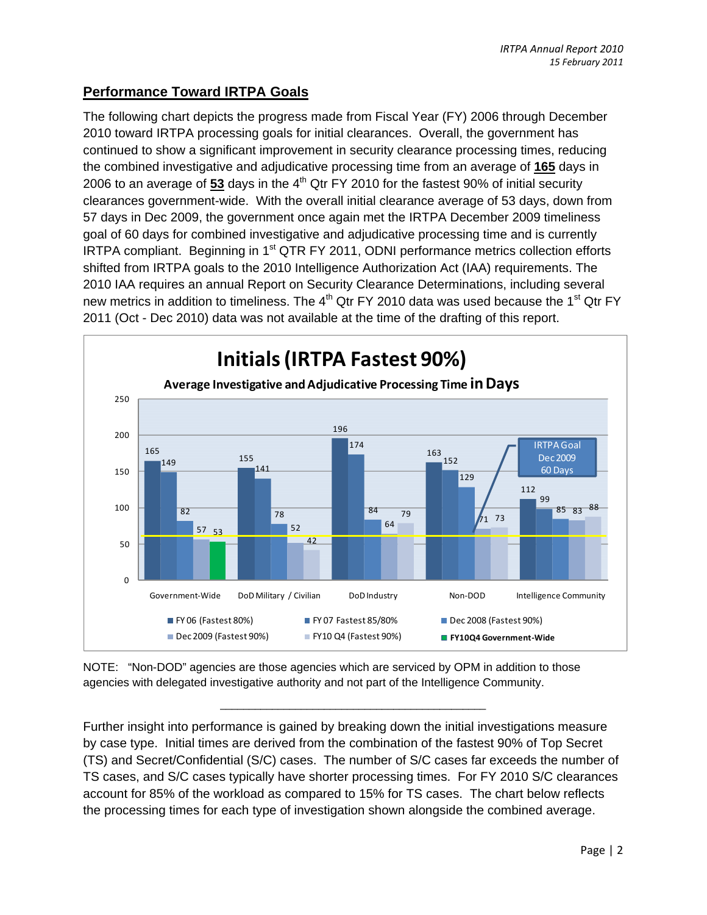#### **Performance Toward IRTPA Goals**

The following chart depicts the progress made from Fiscal Year (FY) 2006 through December 2010 toward IRTPA processing goals for initial clearances. Overall, the government has continued to show a significant improvement in security clearance processing times, reducing the combined investigative and adjudicative processing time from an average of **165** days in 2006 to an average of 53 days in the 4<sup>th</sup> Qtr FY 2010 for the fastest 90% of initial security clearances government-wide. With the overall initial clearance average of 53 days, down from 57 days in Dec 2009, the government once again met the IRTPA December 2009 timeliness goal of 60 days for combined investigative and adjudicative processing time and is currently IRTPA compliant. Beginning in 1<sup>st</sup> QTR FY 2011, ODNI performance metrics collection efforts shifted from IRTPA goals to the 2010 Intelligence Authorization Act (IAA) requirements. The 2010 IAA requires an annual Report on Security Clearance Determinations, including several new metrics in addition to timeliness. The  $4<sup>th</sup>$  Qtr FY 2010 data was used because the 1<sup>st</sup> Qtr FY 2011 (Oct - Dec 2010) data was not available at the time of the drafting of this report.



NOTE: "Non-DOD" agencies are those agencies which are serviced by OPM in addition to those agencies with delegated investigative authority and not part of the Intelligence Community.

Further insight into performance is gained by breaking down the initial investigations measure by case type. Initial times are derived from the combination of the fastest 90% of Top Secret (TS) and Secret/Confidential (S/C) cases. The number of S/C cases far exceeds the number of TS cases, and S/C cases typically have shorter processing times. For FY 2010 S/C clearances account for 85% of the workload as compared to 15% for TS cases. The chart below reflects the processing times for each type of investigation shown alongside the combined average.

\_\_\_\_\_\_\_\_\_\_\_\_\_\_\_\_\_\_\_\_\_\_\_\_\_\_\_\_\_\_\_\_\_\_\_\_\_\_\_\_\_\_\_\_\_\_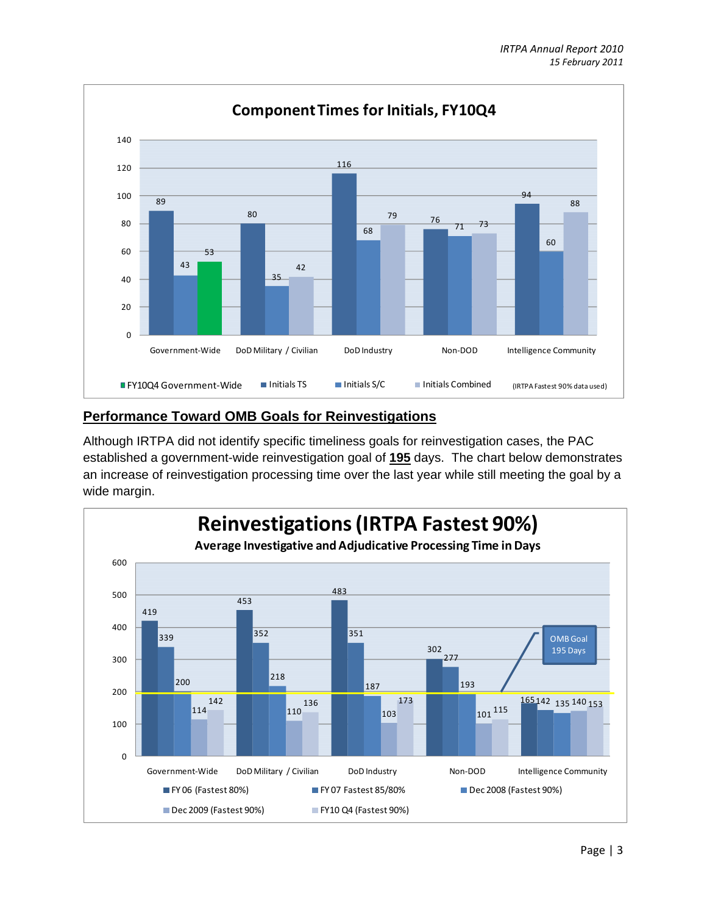

#### **Performance Toward OMB Goals for Reinvestigations**

Although IRTPA did not identify specific timeliness goals for reinvestigation cases, the PAC established a government-wide reinvestigation goal of **195** days. The chart below demonstrates an increase of reinvestigation processing time over the last year while still meeting the goal by a wide margin.

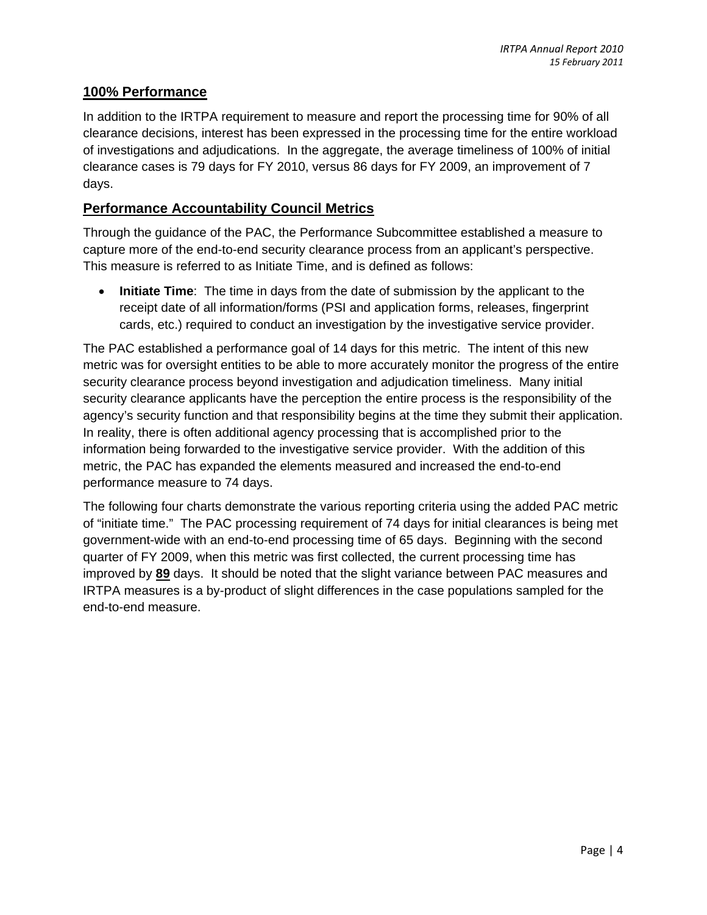#### **100% Performance**

In addition to the IRTPA requirement to measure and report the processing time for 90% of all clearance decisions, interest has been expressed in the processing time for the entire workload of investigations and adjudications. In the aggregate, the average timeliness of 100% of initial clearance cases is 79 days for FY 2010, versus 86 days for FY 2009, an improvement of 7 days.

#### **Performance Accountability Council Metrics**

Through the guidance of the PAC, the Performance Subcommittee established a measure to capture more of the end-to-end security clearance process from an applicant's perspective. This measure is referred to as Initiate Time, and is defined as follows:

• **Initiate Time**: The time in days from the date of submission by the applicant to the receipt date of all information/forms (PSI and application forms, releases, fingerprint cards, etc.) required to conduct an investigation by the investigative service provider.

The PAC established a performance goal of 14 days for this metric. The intent of this new metric was for oversight entities to be able to more accurately monitor the progress of the entire security clearance process beyond investigation and adjudication timeliness. Many initial security clearance applicants have the perception the entire process is the responsibility of the agency's security function and that responsibility begins at the time they submit their application. In reality, there is often additional agency processing that is accomplished prior to the information being forwarded to the investigative service provider. With the addition of this metric, the PAC has expanded the elements measured and increased the end-to-end performance measure to 74 days.

The following four charts demonstrate the various reporting criteria using the added PAC metric of "initiate time." The PAC processing requirement of 74 days for initial clearances is being met government-wide with an end-to-end processing time of 65 days. Beginning with the second quarter of FY 2009, when this metric was first collected, the current processing time has improved by **89** days. It should be noted that the slight variance between PAC measures and IRTPA measures is a by-product of slight differences in the case populations sampled for the end-to-end measure.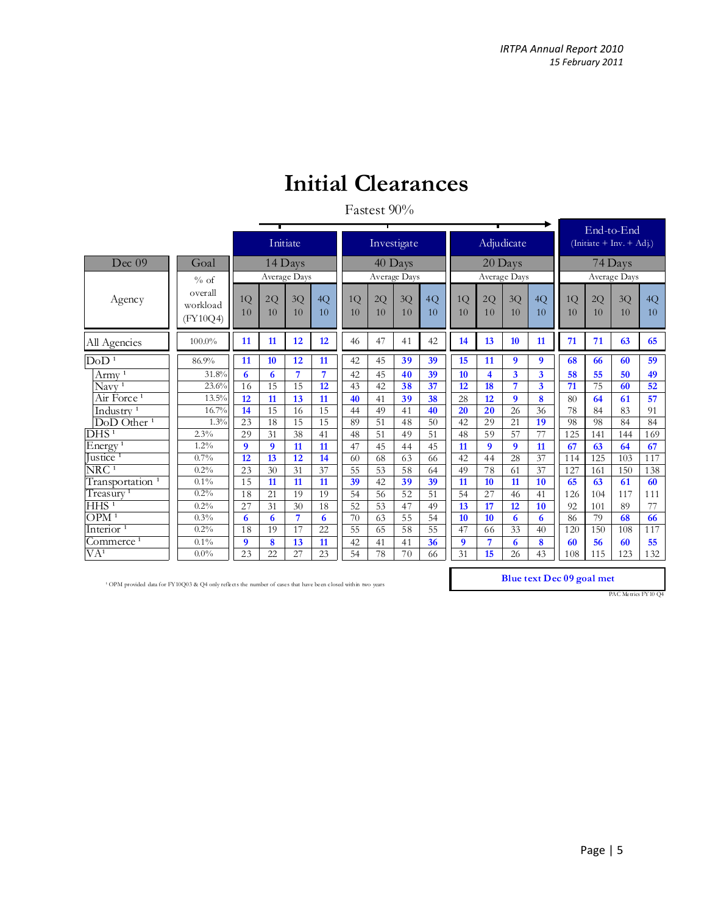### **Initial Clearances**

#### Fastest 90%

|                                            |                                 |                  |          |           |          |          |              |             |          |                  |                         |                  |          | End-to-End                                               |                 |          |          |  |
|--------------------------------------------|---------------------------------|------------------|----------|-----------|----------|----------|--------------|-------------|----------|------------------|-------------------------|------------------|----------|----------------------------------------------------------|-----------------|----------|----------|--|
|                                            |                                 |                  |          | Initiate  |          |          |              | Investigate |          |                  |                         | Adjudicate       |          | $\left(\text{Initate} + \text{Inv.} + \text{Adj}\right)$ |                 |          |          |  |
| Dec 09                                     | Goal                            |                  |          | $14$ Days |          |          |              | 40 Days     |          |                  |                         | 20 Days          |          | 74 Days                                                  |                 |          |          |  |
|                                            | % of                            | Average Days     |          |           |          |          | Average Days |             |          | Average Days     |                         | Average Days     |          |                                                          |                 |          |          |  |
| Agency                                     | overall<br>workload<br>(FY10Q4) | 1Q<br>10         | 2Q<br>10 | 3Q<br>10  | 4Q<br>10 | 1Q<br>10 | 2Q<br>10     | 3Q<br>10    | 4Q<br>10 | 1Q<br>10         | 2Q<br>10                | 3Q<br>10         | 4Q<br>10 | 1Q<br>10                                                 | 2Q<br>10        | 3Q<br>10 | 4Q<br>10 |  |
| All Agencies                               | $100.0\%$                       | 11               | 11       | 12        | 12       | 46       | 47           | 41          | 42       | 14               | 13                      | 10               | 11       | 71                                                       | 71              | 63       | 65       |  |
| DoD <sup>1</sup>                           | 86.9%                           | 11               | 10       | 12        | 11       | 42       | 45           | 39          | 39       | 15               | 11                      | 9                | 9        | 68                                                       | 66              | 60       | 59       |  |
| Army <sup>1</sup>                          | 31.8%                           | 6                | 6        | 7         | 7        | 42       | 45           | 40          | 39       | 10 <sup>10</sup> | $\overline{\mathbf{4}}$ | 3                | 3        | 58                                                       | 55              | 50       | 49       |  |
| $N$ avy <sup>1</sup>                       | 23.6%                           | 16               | 15       | 15        | 12       | 43       | 42           | 38          | 37       | 12               | $\overline{18}$         | 7                | 3        | 71                                                       | $7\overline{5}$ | 60       | 52       |  |
| Air Force <sup>1</sup>                     | 13.5%                           | 12               | 11       | 13        | 11       | 40       | 41           | 39          | 38       | 28               | 12                      | $\boldsymbol{Q}$ | 8        | 80                                                       | 64              | 61       | 57       |  |
| Industry <sup>1</sup>                      | 16.7%                           | 14               | 15       | 16        | 15       | 44       | 49           | 41          | 40       | 20               | 20                      | 26               | 36       | 78                                                       | 84              | 83       | 91       |  |
| $\overline{\mathrm{DoD} \mathrm{Other}^1}$ | 1.3%                            | 23               | 18       | 15        | 15       | 89       | 51           | 48          | 50       | 42               | 29                      | 21               | 19       | 98                                                       | 98              | 84       | 84       |  |
| $\overline{DHS^1}$                         | 2.3%                            | 29               | 31       | 38        | 41       | 48       | 51           | 49          | 51       | 48               | 59                      | 57               | 77       | 125                                                      | 141             | 144      | 169      |  |
| Energy <sup><math>1</math></sup>           | $1.2\%$                         | $\boldsymbol{Q}$ | 9        | 11        | 11       | 47       | 45           | 44          | 45       | 11               | 9                       | 9                | 11       | 67                                                       | 63              | 64       | 67       |  |
| Justice <sup><math>1</math></sup>          | 0.7%                            | 12               | 13       | 12        | 14       | 60       | 68           | 63          | 66       | 42               | 44                      | 28               | 37       | 114                                                      | 125             | 103      | 117      |  |
| $\overline{\rm NRC^{\,1}}$                 | 0.2%                            | 23               | 30       | 31        | 37       | 55       | 53           | 58          | 64       | 49               | 78                      | 61               | 37       | 127                                                      | 161             | 150      | 138      |  |
| Transportation <sup>1</sup>                | $0.1\%$                         | 1.5              | 11       | 11        | 11       | 39       | 42           | 39          | 39       | 11               | 10                      | 11               | 10       | 65                                                       | 63              | 61       | 60       |  |
| Treasury <sup>1</sup>                      | 0.2%                            | 18               | 21       | 19        | 19       | 54       | 56           | 52          | 51       | 54               | 27                      | 46               | 41       | 126                                                      | 104             | 117      | 111      |  |
| HHS <sup>1</sup>                           | 0.2%                            | 27               | 31       | 30        | 18       | 52       | 53           | 47          | 49       | 13               | 17                      | 12               | 10       | 92                                                       | 101             | 89       | 77       |  |
| OPM <sup>1</sup>                           | 0.3%                            | 6                | 6        | 7         | 6        | 70       | 63           | 55          | 54       | 10               | 10                      | 6                | 6        | 86                                                       | 79              | 68       | 66       |  |
| Interior <sup>1</sup>                      | 0.2%                            | 18               | 19       | 17        | 22       | 55       | 65           | 58          | 55       | 47               | 66                      | 33               | 40       | 120                                                      | 150             | 108      | 117      |  |
| Commerce <sup>1</sup>                      | $0.1\%$                         | 9                | 8        | 13        | 11       | 42       | 41           | 41          | 36       | 9                | 7                       | 6                | 8        | 60                                                       | 56              | 60       | 55       |  |
| $\overline{VA^1}$                          | $0.0\%$                         | 23               | 22       | 27        | 23       | 54       | 78           | 70          | 66       | 31               | 15                      | 26               | 43       | 108                                                      | 115             | 123      | 132      |  |

<sup>1</sup> OPM provided data for FY10Q03 & Q4 only reflects the number of cases that have been closed within two years **Blue text Dec 09 goal met** 

PAC Metric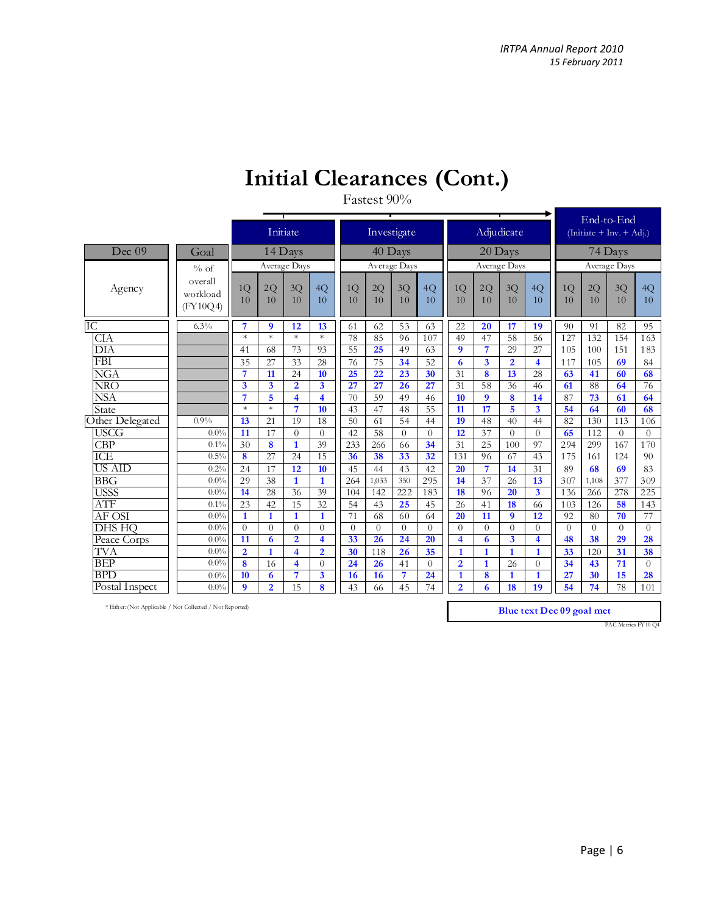### **Initial Clearances (Cont.)**

#### Fastest 90%

|                 |                                 |                  |                  | Initiate                |                         |          | Investigate              |          |          |                |                | Adjudicate              |                         | End-to-End<br>$(\text{Initiate} + \text{Inv.} + \overline{\text{Adj.}})$ |          |                  |          |  |
|-----------------|---------------------------------|------------------|------------------|-------------------------|-------------------------|----------|--------------------------|----------|----------|----------------|----------------|-------------------------|-------------------------|--------------------------------------------------------------------------|----------|------------------|----------|--|
| Dec 09          | Goal                            |                  |                  | $14$ Days               |                         |          | 40 Days                  |          |          |                |                | 20 Days                 |                         | 74 Days                                                                  |          |                  |          |  |
|                 | % of                            | Average Days     |                  |                         |                         |          |                          |          |          | Average Days   |                | Average Days            |                         |                                                                          |          |                  |          |  |
| Agency          | overall<br>workload<br>(FY10O4) | 1Q<br>10         | 2Q<br>10         | 3Q<br>10                | 4Q<br>10                | 1Q<br>10 | Average Days<br>2Q<br>10 | 3Q<br>10 | 4Q<br>10 | 1Q<br>10       | 2Q<br>10       | 3Q<br>10                | 4Q<br>10                | 1Q<br>10                                                                 | 2Q<br>10 | $3{\rm Q}$<br>10 | 4Q<br>10 |  |
| IC              | $6.3\%$                         | $\overline{7}$   | $\boldsymbol{Q}$ | 12                      | 13                      | 61       | 62                       | 53       | 63       | 22             | 20             | 17                      | 19                      | 90                                                                       | 91       | 82               | 95       |  |
| <b>CIA</b>      |                                 | $\ast$           | $\ast$           | $\ast$                  | $\ast$                  | 78       | 85                       | 96       | 107      | 49             | 47             | 58                      | 56                      | 127                                                                      | 132      | 154              | 163      |  |
| DIA             |                                 | 41               | 68               | 73                      | 93                      | 55       | $\overline{25}$          | 49       | 63       | 9              | $\overline{7}$ | 29                      | 27                      | 105                                                                      | 100      | 151              | 183      |  |
| <b>FBI</b>      |                                 | 35               | 27               | 33                      | 28                      | 76       | 75                       | 34       | 52       | 6              | $\overline{3}$ | $\overline{2}$          | 4                       | 117                                                                      | 105      | 69               | 84       |  |
| <b>NGA</b>      |                                 | 7                | 11               | 24                      | 10 <sup>10</sup>        | 25       | 22                       | 23       | 30       | 31             | 8              | 13                      | 28                      | 63                                                                       | 41       | 60               | 68       |  |
| NRO             |                                 | $\overline{3}$   | 3                | $\overline{2}$          | 3                       | 27       | 27                       | 26       | 27       | 31             | 58             | 36                      | 46                      | 61                                                                       | 88       | 64               | 76       |  |
| <b>NSA</b>      |                                 | $\overline{7}$   | 5                | $\overline{\mathbf{4}}$ | $\overline{\mathbf{4}}$ | 70       | 59                       | 49       | 46       | 10             | 9              | 8                       | 14                      | 87                                                                       | 73       | 61               | 64       |  |
| State           |                                 | $\ast$           | $\ast$           | $\overline{7}$          | 10                      | 43       | 47                       | 48       | 55       | 11             | 17             | 5                       | 3                       | 54                                                                       | 64       | 60               | 68       |  |
| Other Delegated | $0.9\%$                         | 13               | 21               | 19                      | 18                      | 50       | 61                       | 54       | 44       | 19             | 48             | 40                      | 44                      | 82                                                                       | 130      | 113              | 106      |  |
| <b>USCG</b>     | 0.0%                            | 11               | 17               | $\Omega$                | $\Omega$                | 42       | 58                       | $\theta$ | $\Omega$ | 12             | 37             | $\theta$                | $\Omega$                | 65                                                                       | 112      | $\theta$         | $\theta$ |  |
| <b>CBP</b>      | 0.1%                            | 30               | 8                | $\mathbf{1}$            | 39                      | 233      | 266                      | 66       | 34       | 31             | 25             | 100                     | 97                      | 294                                                                      | 299      | 167              | 170      |  |
| <b>ICE</b>      | 0.5%                            | 8                | 27               | 24                      | 15                      | 36       | 38                       | 33       | 32       | 131            | 96             | 67                      | 43                      | 175                                                                      | 161      | 124              | 90       |  |
| <b>US AID</b>   | 0.2%                            | 24               | 17               | 12                      | 10                      | 45       | 44                       | 43       | 42       | 20             | $\overline{7}$ | 14                      | 31                      | 89                                                                       | 68       | 69               | 83       |  |
| <b>BBG</b>      | 0.0%                            | 29               | 38               | $\mathbf{1}$            | 1                       | 264      | 1,033                    | 350      | 295      | 14             | 37             | 26                      | 13                      | 307                                                                      | 1,108    | 377              | 309      |  |
| <b>USSS</b>     | 0.0%                            | 14               | 28               | 36                      | 39                      | 104      | 142                      | 222      | 183      | 18             | 96             | 20                      | $\overline{\mathbf{3}}$ | 136                                                                      | 266      | 278              | 225      |  |
| ATF             | 0.1%                            | 23               | 42               | 15                      | 32                      | 54       | 43                       | 25       | 45       | 26             | 41             | <b>18</b>               | 66                      | 103                                                                      | 126      | 58               | 143      |  |
| AF OSI          | 0.0%                            | $\mathbf{1}$     | $\mathbf{1}$     | $\mathbf{1}$            | $\mathbf{1}$            | 71       | 68                       | 60       | 64       | 20             | 11             | $\boldsymbol{9}$        | 12                      | 92                                                                       | 80       | 70               | 77       |  |
| <b>DHS HO</b>   | 0.0%                            | $\Omega$         | $\Omega$         | $\Omega$                | $\theta$                | $\Omega$ | $\theta$                 | $\theta$ | $\Omega$ | $\theta$       | $\theta$       | $\theta$                | $\Omega$                | $\theta$                                                                 | $\theta$ | $\theta$         | $\theta$ |  |
| Peace Corps     | 0.0%                            | 11               | 6                | $\overline{2}$          | $\overline{\mathbf{4}}$ | 33       | 26                       | 24       | 20       | 4              | 6              | $\overline{\mathbf{3}}$ | $\overline{\mathbf{4}}$ | 48                                                                       | 38       | 29               | 28       |  |
| TVA             | 0.0%                            | $\overline{2}$   | $\overline{1}$   | $\overline{\mathbf{4}}$ | $\overline{2}$          | 30       | 118                      | 26       | 35       | $\mathbf{1}$   | $\mathbf{1}$   | $\overline{1}$          | 1                       | 33                                                                       | 120      | 31               | 38       |  |
| <b>BEP</b>      | 0.0%                            | 8                | 16               | $\overline{\mathbf{4}}$ | $\Omega$                | 24       | 26                       | 41       | $\Omega$ | $\overline{2}$ | $\mathbf{1}$   | 26                      | $\Omega$                | 34                                                                       | 43       | 71               | $\Omega$ |  |
| <b>BPD</b>      | 0.0%                            | 10               | 6                | 7                       | 3                       | 16       | 16                       | 7        | 24       | $\mathbf{1}$   | 8              | $\mathbf{1}$            | $\mathbf{1}$            | 27                                                                       | 30       | 15               | 28       |  |
| Postal Inspect  | 0.0%                            | $\boldsymbol{q}$ | $\overline{2}$   | 15                      | 8                       | 43       | 66                       | 45       | 74       | $\overline{2}$ | 6              | 18                      | 19                      | 54                                                                       | 74       | 78               | 101      |  |
|                 |                                 |                  |                  |                         |                         |          |                          |          |          |                |                |                         |                         |                                                                          |          |                  |          |  |

\* Either: (Not Applicable / Not Collected / Not Reported)

**Blue text Dec 09 goal met**

PAC Metrics FY10 Q4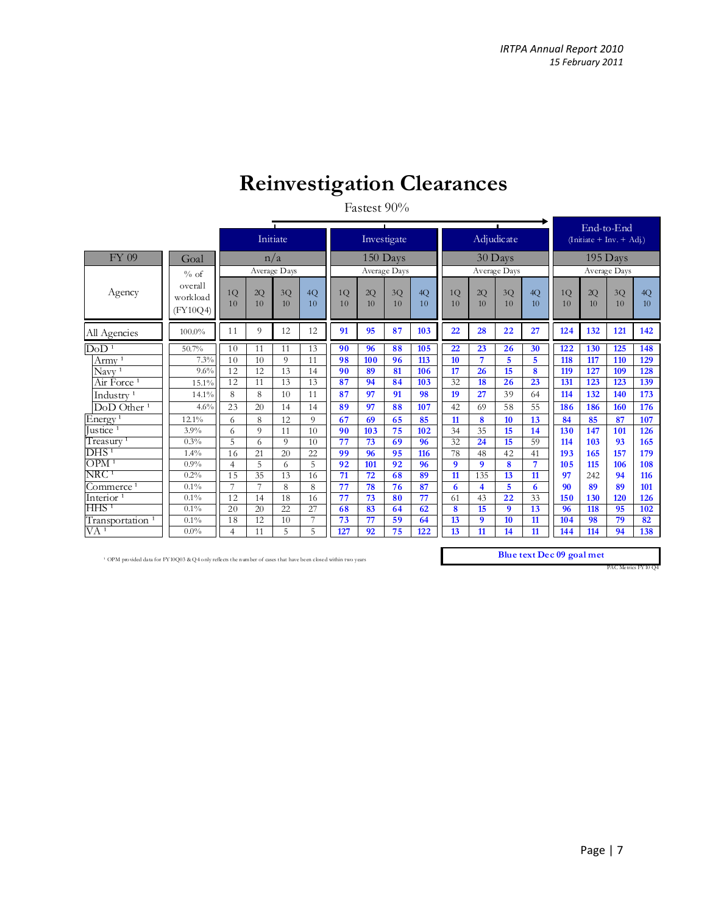## **Reinvestigation Clearances**

#### Fastest 90%

|                                    |                                 |                |                 | Initiate        |                |          |          | $\mathbf{L}$<br>Investigate |                 |                 |                  | $\blacksquare$<br>Adjudicate |          | End-to-End<br>(Initiate + Inv. + $\overrightarrow{Ad}$ ) |          |          |                       |  |
|------------------------------------|---------------------------------|----------------|-----------------|-----------------|----------------|----------|----------|-----------------------------|-----------------|-----------------|------------------|------------------------------|----------|----------------------------------------------------------|----------|----------|-----------------------|--|
| FY 09                              | Goal                            |                |                 | n/a             |                |          |          | 150 Days                    |                 |                 |                  | 30 Days                      |          | $195$ Days                                               |          |          |                       |  |
|                                    | % of                            | Average Days   |                 |                 |                |          |          | Average Days                |                 |                 |                  | Average Days                 |          | Average Days                                             |          |          |                       |  |
| Agency                             | overall<br>workload<br>(FY10Q4) | 1Q<br>10       | 2Q<br>10        | 3Q<br>10        | 4Q<br>10       | 1Q<br>10 | 2Q<br>10 | 3Q<br>10                    | 4Q<br>10        | 1Q<br>10        | 2Q<br>10         | 3Q<br>10                     | 4Q<br>10 | 1Q<br>10                                                 | 2Q<br>10 | 3Q<br>10 | 4Q<br>10 <sup>2</sup> |  |
| All Agencies                       | 100.0%                          | 11             | 9               | 12              | 12             | 91       | 95       | 87                          | 103             | 22              | 28               | 22                           | 27       | 124                                                      | 132      | 121      | 142                   |  |
| DoD <sup>1</sup>                   | 50.7%                           | 10             | 11              | 11              | 13             | 90       | 96       | 88                          | 105             | 22              | 23               | 26                           | 30       | 122                                                      | 130      | 125      | 148                   |  |
| $A$ rmy <sup>1</sup>               | 7.3%                            | 10             | 10              | 9               | 11             | 98       | 100      | 96                          | 113             | 10              | $\overline{7}$   | 5                            | 5        | 118                                                      | 117      | 110      | 129                   |  |
| $\text{Navv}$ <sup>1</sup>         | 9.6%                            | 12             | 12              | 13              | 14             | 90       | 89       | 81                          | 106             | 17              | 26               | 15                           | 8        | 119                                                      | 127      | 109      | 128                   |  |
| Air Force <sup>1</sup>             | 15.1%                           | 12             | 11              | 13              | 13             | 87       | 94       | 84                          | 103             | 32              | 18               | 26                           | 23       | 131                                                      | 123      | 123      | 139                   |  |
| Industry <sup><math>1</math></sup> | 14.1%                           | 8              | 8               | 10              | 11             | 87       | 97       | 91                          | 98              | 19              | 27               | 39                           | 64       | 114                                                      | 132      | 140      | 173                   |  |
| DoD Other <sup>1</sup>             | 4.6%                            | 23             | 20              | 14              | 14             | 89       | 97       | 88                          | 107             | 42              | 69               | 58                           | 55       | 186                                                      | 186      | 160      | 176                   |  |
| Energy <sup>1</sup>                | 12.1%                           | 6              | 8               | 12              | $\Omega$       | 67       | 69       | 65                          | 85              | 11              | 8                | 10                           | 13       | 84                                                       | 85       | 87       | 107                   |  |
| Justice <sup>1</sup>               | 3.9%                            | 6              | 9               | 11              | 10             | 90       | 103      | 75                          | 102             | 34              | 35               | 15                           | 14       | 130                                                      | 147      | 101      | 126                   |  |
| Treasury <sup>1</sup>              | 0.3%                            | 5              | 6               | 9               | 10             | 77       | 73       | 69                          | 96              | 32              | 24               | 15                           | 59       | 114                                                      | 103      | 93       | 165                   |  |
| DHS <sup>1</sup>                   | 1.4%                            | 16             | 21              | 20              | 22             | 99       | 96       | 95                          | 116             | 78              | 48               | 42                           | 41       | 193                                                      | 165      | 157      | 179                   |  |
| OPM <sup>1</sup>                   | 0.9%                            | $\overline{4}$ | 5               | 6               | 5              | 92       | 101      | 92                          | 96              | 9               | $\mathbf{Q}$     | 8                            | 7        | 105                                                      | 115      | 106      | 108                   |  |
| $\overline{\rm NRC^{\text{1}}}$    | 0.2%                            | 15             | $\overline{35}$ | 13              | 16             | 71       | 72       | 68                          | 89              | $\overline{11}$ | 135              | 13                           | 11       | 97                                                       | 242      | 94       | 116                   |  |
| Commerce <sup>1</sup>              | $0.1\%$                         | 7              | $\overline{7}$  | 8               | 8              | 77       | 78       | 76                          | 87              | 6               | 4                | 5                            | 6        | 90                                                       | 89       | 89       | 101                   |  |
| Interior <sup>1</sup>              | $0.1\%$                         | 12             | 14              | 18              | 16             | 77       | 73       | 80                          | $\overline{77}$ | 61              | 43               | 22                           | 33       | 150                                                      | 130      | 120      | 126                   |  |
| $HHS$ <sup>1</sup>                 | $0.1\%$                         | 20             | 20              | $\overline{22}$ | 27             | 68       | 83       | 64                          | 62              | 8               | 15               | $\boldsymbol{9}$             | 13       | 96                                                       | 118      | 95       | 102                   |  |
| Transportation <sup>1</sup>        | $0.1\%$                         | 18             | 12              | 10              | $\overline{ }$ | 73       | 77       | 59                          | 64              | 13              | $\boldsymbol{9}$ | 10                           | 11       | 104                                                      | 98       | 79       | 82                    |  |
| $\overline{VA}$ <sup>1</sup>       | $0.0\%$                         | $\overline{4}$ | 11              | 5               | 5              | 127      | 92       | 75                          | 122             | 13              | 11               | 14                           | 11       | 144                                                      | 114      | 94       | 138                   |  |

<sup>1</sup> OPM provided data for FY10Q03 & Q4 only reflects the number of cases that have been closed within two years **Blue text Dec 09 goal met** 

PAC Metrics FY10 Q4